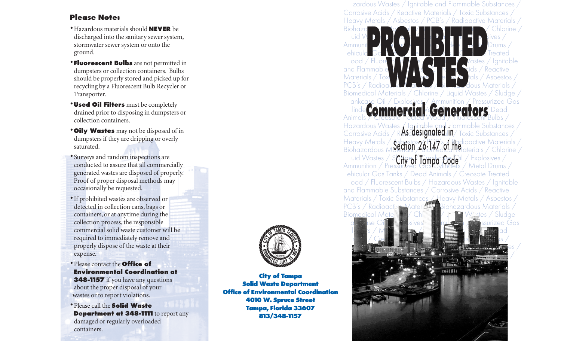## **Please Note:**

- •Hazardous materials should **NEVER** be discharged into the sanitary sewer system, stormwater sewer system or onto the ground.
- **Fluorescent Bulbs** are not permitted in dumpsters or collection containers. Bulbs should be properly stored and picked up for recycling by a Fluorescent Bulb Recycler or Transporter.
- •**Used Oil Filters** must be completely drained prior to disposing in dumpsters or collection containers.
- •**Oily Wastes** may not be disposed of in dumpsters if they are dripping or overly saturated.
- Surveys and random inspections are conducted to assure that all commercially generated wastes are disposed of properly. Proof of proper disposal methods may occasionally be requested.
- •If prohibited wastes are observed or detected in collection cans, bags or containers, or at anytime during the collection process, the responsible commercial solid waste customer will be required to immediately remove and properly dispose of the waste at their expense.
- •Please contact the **Office of Environmental Coordination at 348-1157** if you have any questions about the proper disposal of your wastes or to report violations.
- •Please call the **Solid Waste Department at 348-1111** to report any damaged or regularly overloaded containers.



**City of Tampa Solid Waste Department** 



**City of Tampa Solid Waste Department Office of Environmental Coordination 4010 W. Spruce Street Tampa, Florida 33607 813/348-1157**